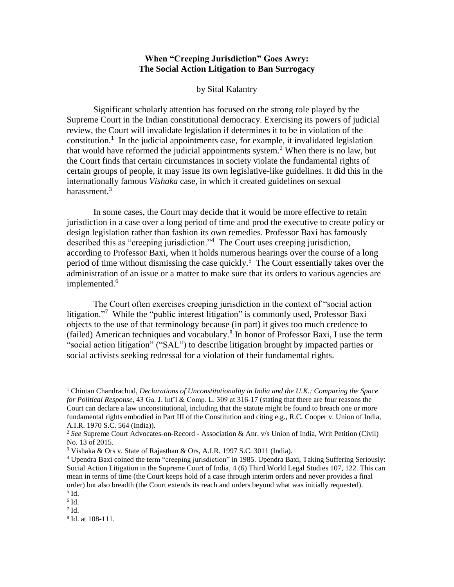## **When "Creeping Jurisdiction" Goes Awry: The Social Action Litigation to Ban Surrogacy**

## by Sital Kalantry

Significant scholarly attention has focused on the strong role played by the Supreme Court in the Indian constitutional democracy. Exercising its powers of judicial review, the Court will invalidate legislation if determines it to be in violation of the constitution.<sup>1</sup> In the judicial appointments case, for example, it invalidated legislation that would have reformed the judicial appointments system.<sup>2</sup> When there is no law, but the Court finds that certain circumstances in society violate the fundamental rights of certain groups of people, it may issue its own legislative-like guidelines. It did this in the internationally famous *Vishaka* case, in which it created guidelines on sexual harassment. $3$ 

<span id="page-0-0"></span>In some cases, the Court may decide that it would be more effective to retain jurisdiction in a case over a long period of time and prod the executive to create policy or design legislation rather than fashion its own remedies. Professor Baxi has famously described this as "creeping jurisdiction."<sup>4</sup> The Court uses creeping jurisdiction, according to Professor Baxi, when it holds numerous hearings over the course of a long period of time without dismissing the case quickly.<sup>5</sup> The Court essentially takes over the administration of an issue or a matter to make sure that its orders to various agencies are implemented.<sup>6</sup>

The Court often exercises creeping jurisdiction in the context of "social action litigation."<sup>7</sup> While the "public interest litigation" is commonly used, Professor Baxi objects to the use of that terminology because (in part) it gives too much credence to (failed) American techniques and vocabulary.<sup>8</sup> In honor of Professor Baxi, I use the term "social action litigation" ("SAL") to describe litigation brought by impacted parties or social activists seeking redressal for a violation of their fundamental rights.

<sup>1</sup> Chintan Chandrachud, *Declarations of Unconstitutionality in India and the U.K.: Comparing the Space for Political Response*, 43 Ga. J. Int'l & Comp. L. 309 at 316-17 (stating that there are four reasons the Court can declare a law unconstitutional, including that the statute might be found to breach one or more fundamental rights embodied in Part III of the Constitution and citing e.g., R.C. Cooper v. Union of India, A.I.R. 1970 S.C. 564 (India)).

<sup>2</sup> *See* Supreme Court Advocates-on-Record - Association & Anr. v/s Union of India, Writ Petition (Civil) No. 13 of 2015.

<sup>3</sup> Vishaka & Ors v. State of Rajasthan & Ors, A.I.R. 1997 S.C. 3011 (India).

<sup>4</sup> Upendra Baxi coined the term "creeping jurisdiction" in 1985. Upendra Baxi, Taking Suffering Seriously: Social Action Litigation in the Supreme Court of India, 4 (6) Third World Legal Studies 107, 122. This can mean in terms of time (the Court keeps hold of a case through interim orders and never provides a final order) but also breadth (the Court extends its reach and orders beyond what was initially requested). 5 Id.

 $6$  Id.

 $7$  Id.

<sup>8</sup> Id. at 108-111.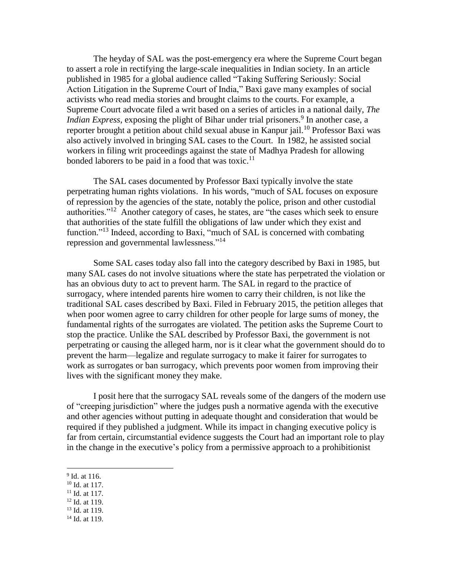The heyday of SAL was the post-emergency era where the Supreme Court began to assert a role in rectifying the large-scale inequalities in Indian society. In an article published in 1985 for a global audience called "Taking Suffering Seriously: Social Action Litigation in the Supreme Court of India," Baxi gave many examples of social activists who read media stories and brought claims to the courts. For example, a Supreme Court advocate filed a writ based on a series of articles in a national daily, *The*  Indian Express, exposing the plight of Bihar under trial prisoners.<sup>9</sup> In another case, a reporter brought a petition about child sexual abuse in Kanpur jail.<sup>10</sup> Professor Baxi was also actively involved in bringing SAL cases to the Court. In 1982, he assisted social workers in filing writ proceedings against the state of Madhya Pradesh for allowing bonded laborers to be paid in a food that was toxic. $11$ 

The SAL cases documented by Professor Baxi typically involve the state perpetrating human rights violations. In his words, "much of SAL focuses on exposure of repression by the agencies of the state, notably the police, prison and other custodial authorities."<sup>12</sup> Another category of cases, he states, are "the cases which seek to ensure that authorities of the state fulfill the obligations of law under which they exist and function."<sup>13</sup> Indeed, according to Baxi, "much of SAL is concerned with combating repression and governmental lawlessness."<sup>14</sup>

Some SAL cases today also fall into the category described by Baxi in 1985, but many SAL cases do not involve situations where the state has perpetrated the violation or has an obvious duty to act to prevent harm. The SAL in regard to the practice of surrogacy, where intended parents hire women to carry their children, is not like the traditional SAL cases described by Baxi. Filed in February 2015, the petition alleges that when poor women agree to carry children for other people for large sums of money, the fundamental rights of the surrogates are violated. The petition asks the Supreme Court to stop the practice. Unlike the SAL described by Professor Baxi, the government is not perpetrating or causing the alleged harm, nor is it clear what the government should do to prevent the harm—legalize and regulate surrogacy to make it fairer for surrogates to work as surrogates or ban surrogacy, which prevents poor women from improving their lives with the significant money they make.

I posit here that the surrogacy SAL reveals some of the dangers of the modern use of "creeping jurisdiction" where the judges push a normative agenda with the executive and other agencies without putting in adequate thought and consideration that would be required if they published a judgment. While its impact in changing executive policy is far from certain, circumstantial evidence suggests the Court had an important role to play in the change in the executive's policy from a permissive approach to a prohibitionist

- <sup>10</sup> Id. at 117.
- $11$  Id. at 117.
- <sup>12</sup> Id. at 119.
- <sup>13</sup> Id. at 119.
- <sup>14</sup> Id. at 119.

<sup>&</sup>lt;sup>9</sup> Id. at 116.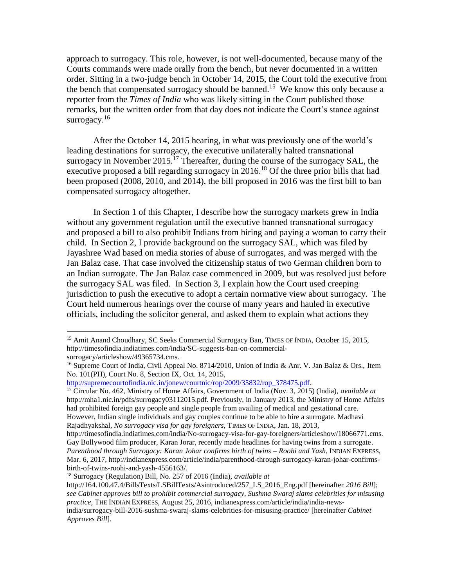<span id="page-2-1"></span>approach to surrogacy. This role, however, is not well-documented, because many of the Courts commands were made orally from the bench, but never documented in a written order. Sitting in a two-judge bench in October 14, 2015, the Court told the executive from the bench that compensated surrogacy should be banned.<sup>15</sup> We know this only because a reporter from the *Times of India* who was likely sitting in the Court published those remarks, but the written order from that day does not indicate the Court's stance against surrogacy.<sup>16</sup>

<span id="page-2-0"></span>After the October 14, 2015 hearing, in what was previously one of the world's leading destinations for surrogacy, the executive unilaterally halted transnational surrogacy in November 2015.<sup>17</sup> Thereafter, during the course of the surrogacy SAL, the executive proposed a bill regarding surrogacy in 2016.<sup>18</sup> Of the three prior bills that had been proposed (2008, 2010, and 2014), the bill proposed in 2016 was the first bill to ban compensated surrogacy altogether.

In Section 1 of this Chapter, I describe how the surrogacy markets grew in India without any government regulation until the executive banned transnational surrogacy and proposed a bill to also prohibit Indians from hiring and paying a woman to carry their child. In Section 2, I provide background on the surrogacy SAL, which was filed by Jayashree Wad based on media stories of abuse of surrogates, and was merged with the Jan Balaz case. That case involved the citizenship status of two German children born to an Indian surrogate. The Jan Balaz case commenced in 2009, but was resolved just before the surrogacy SAL was filed. In Section 3, I explain how the Court used creeping jurisdiction to push the executive to adopt a certain normative view about surrogacy. The Court held numerous hearings over the course of many years and hauled in executive officials, including the solicitor general, and asked them to explain what actions they

l

[http://supremecourtofindia.nic.in/jonew/courtnic/rop/2009/35832/rop\\_378475.pdf.](http://supremecourtofindia.nic.in/jonew/courtnic/rop/2009/35832/rop_378475.pdf)

<sup>&</sup>lt;sup>15</sup> Amit Anand Choudhary, SC Seeks Commercial Surrogacy Ban, TIMES OF INDIA, October 15, 2015, http://timesofindia.indiatimes.com/india/SC-suggests-ban-on-commercial-

surrogacy/articleshow/49365734.cms.

<sup>&</sup>lt;sup>16</sup> Supreme Court of India, Civil Appeal No. 8714/2010, Union of India & Anr. V. Jan Balaz & Ors., Item No. 101(PH), Court No. 8, Section IX, Oct. 14, 2015,

<sup>17</sup> Circular No. 462, Ministry of Home Affairs, Government of India (Nov. 3, 2015) (India), *available at*  http://mha1.nic.in/pdfs/surrogacy03112015.pdf. Previously, in January 2013, the Ministry of Home Affairs had prohibited foreign gay people and single people from availing of medical and gestational care. However, Indian single individuals and gay couples continue to be able to hire a surrogate. Madhavi Rajadhyakshal, *No surrogacy visa for gay foreigners*, TIMES OF INDIA, Jan. 18, 2013,

http://timesofindia.indiatimes.com/india/No-surrogacy-visa-for-gay-foreigners/articleshow/18066771.cms. Gay Bollywood film producer, Karan Jorar, recently made headlines for having twins from a surrogate. *Parenthood through Surrogacy: Karan Johar confirms birth of twins – Roohi and Yash*, INDIAN EXPRESS, Mar. 6, 2017, http://indianexpress.com/article/india/parenthood-through-surrogacy-karan-johar-confirmsbirth-of-twins-roohi-and-yash-4556163/.

<sup>18</sup> Surrogacy (Regulation) Bill, No. 257 of 2016 (India), *available at* 

http://164.100.47.4/BillsTexts/LSBillTexts/Asintroduced/257\_LS\_2016\_Eng.pdf [hereinafter *2016 Bill*]; *see Cabinet approves bill to prohibit commercial surrogacy, Sushma Swaraj slams celebrities for misusing practice*, THE INDIAN EXPRESS, August 25, 2016, indianexpress.com/article/india/india-newsindia/surrogacy-bill-2016-sushma-swaraj-slams-celebrities-for-misusing-practice/ [hereinafter *Cabinet Approves Bill*].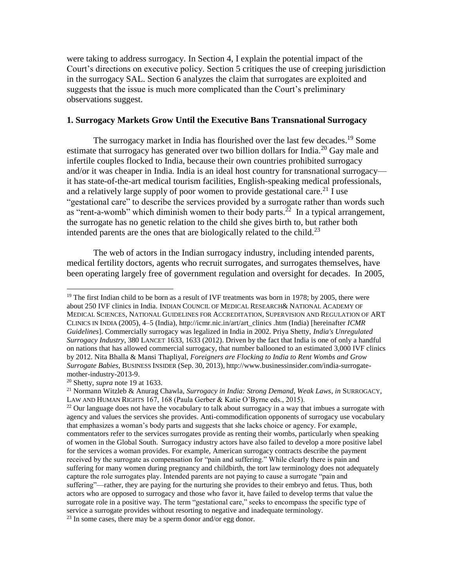were taking to address surrogacy. In Section 4, I explain the potential impact of the Court's directions on executive policy. Section 5 critiques the use of creeping jurisdiction in the surrogacy SAL. Section 6 analyzes the claim that surrogates are exploited and suggests that the issue is much more complicated than the Court's preliminary observations suggest.

## **1. Surrogacy Markets Grow Until the Executive Bans Transnational Surrogacy**

<span id="page-3-0"></span>The surrogacy market in India has flourished over the last few decades.<sup>19</sup> Some estimate that surrogacy has generated over two billion dollars for India.<sup>20</sup> Gay male and infertile couples flocked to India, because their own countries prohibited surrogacy and/or it was cheaper in India. India is an ideal host country for transnational surrogacy it has state-of-the-art medical tourism facilities, English-speaking medical professionals, and a relatively large supply of poor women to provide gestational care.<sup>21</sup> I use "gestational care" to describe the services provided by a surrogate rather than words such as "rent-a-womb" which diminish women to their body parts.<sup>22</sup> In a typical arrangement, the surrogate has no genetic relation to the child she gives birth to, but rather both intended parents are the ones that are biologically related to the child. $^{23}$ 

The web of actors in the Indian surrogacy industry, including intended parents, medical fertility doctors, agents who recruit surrogates, and surrogates themselves, have been operating largely free of government regulation and oversight for decades. In 2005,

<sup>&</sup>lt;sup>19</sup> The first Indian child to be born as a result of IVF treatments was born in 1978; by 2005, there were about 250 IVF clinics in India. INDIAN COUNCIL OF MEDICAL RESEARCH& NATIONAL ACADEMY OF MEDICAL SCIENCES, NATIONAL GUIDELINES FOR ACCREDITATION, SUPERVISION AND REGULATION OF ART CLINICS IN INDIA (2005), 4–5 (India), http://icmr.nic.in/art/art\_clinics .htm (India) [hereinafter *ICMR Guidelines*]. Commercially surrogacy was legalized in India in 2002. Priya Shetty, *India's Unregulated Surrogacy Industry*, 380 LANCET 1633, 1633 (2012). Driven by the fact that India is one of only a handful on nations that has allowed commercial surrogacy, that number ballooned to an estimated 3,000 IVF clinics by 2012. Nita Bhalla & Mansi Thapliyal, *Foreigners are Flocking to India to Rent Wombs and Grow Surrogate Babies*, BUSINESS INSIDER (Sep. 30, 2013), http://www.businessinsider.com/india-surrogatemother-industry-2013-9.

<sup>20</sup> Shetty, *supra* note [19](#page-3-0) at 1633.

<sup>21</sup> Normann Witzleb & Anurag Chawla, *Surrogacy in India: Strong Demand, Weak Laws*, *in* SURROGACY, LAW AND HUMAN RIGHTS 167, 168 (Paula Gerber & Katie O'Byrne eds., 2015).

 $22$  Our language does not have the vocabulary to talk about surrogacy in a way that imbues a surrogate with agency and values the services she provides. Anti-commodification opponents of surrogacy use vocabulary that emphasizes a woman's body parts and suggests that she lacks choice or agency. For example, commentators refer to the services surrogates provide as renting their wombs, particularly when speaking of women in the Global South. Surrogacy industry actors have also failed to develop a more positive label for the services a woman provides. For example, American surrogacy contracts describe the payment received by the surrogate as compensation for "pain and suffering." While clearly there is pain and suffering for many women during pregnancy and childbirth, the tort law terminology does not adequately capture the role surrogates play. Intended parents are not paying to cause a surrogate "pain and suffering"—rather, they are paying for the nurturing she provides to their embryo and fetus. Thus, both actors who are opposed to surrogacy and those who favor it, have failed to develop terms that value the surrogate role in a positive way. The term "gestational care," seeks to encompass the specific type of service a surrogate provides without resorting to negative and inadequate terminology.  $^{23}$  In some cases, there may be a sperm donor and/or egg donor.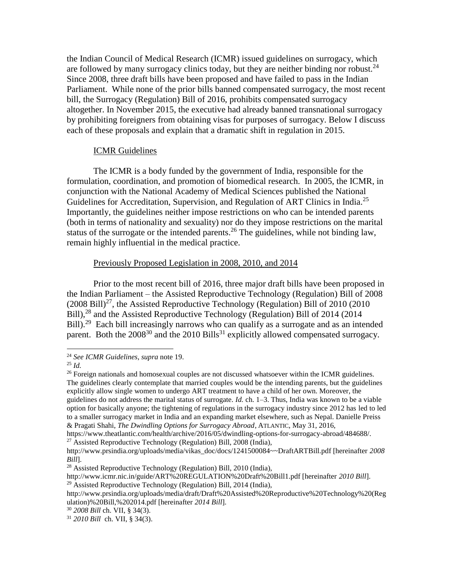the Indian Council of Medical Research (ICMR) issued guidelines on surrogacy, which are followed by many surrogacy clinics today, but they are neither binding nor robust.<sup>24</sup> Since 2008, three draft bills have been proposed and have failed to pass in the Indian Parliament. While none of the prior bills banned compensated surrogacy, the most recent bill, the Surrogacy (Regulation) Bill of 2016, prohibits compensated surrogacy altogether. In November 2015, the executive had already banned transnational surrogacy by prohibiting foreigners from obtaining visas for purposes of surrogacy. Below I discuss each of these proposals and explain that a dramatic shift in regulation in 2015.

#### ICMR Guidelines

The ICMR is a body funded by the government of India, responsible for the formulation, coordination, and promotion of biomedical research. In 2005, the ICMR, in conjunction with the National Academy of Medical Sciences published the National Guidelines for Accreditation, Supervision, and Regulation of ART Clinics in India.<sup>25</sup> Importantly, the guidelines neither impose restrictions on who can be intended parents (both in terms of nationality and sexuality) nor do they impose restrictions on the marital status of the surrogate or the intended parents.<sup>26</sup> The guidelines, while not binding law, remain highly influential in the medical practice.

#### Previously Proposed Legislation in 2008, 2010, and 2014

Prior to the most recent bill of 2016, three major draft bills have been proposed in the Indian Parliament – the Assisted Reproductive Technology (Regulation) Bill of 2008  $(2008 \text{ Bill})^{27}$ , the Assisted Reproductive Technology (Regulation) Bill of 2010 (2010) Bill),<sup>28</sup> and the Assisted Reproductive Technology (Regulation) Bill of 2014 (2014) Bill).<sup>29</sup> Each bill increasingly narrows who can qualify as a surrogate and as an intended parent. Both the  $2008^{30}$  and the  $2010$  Bills<sup>31</sup> explicitly allowed compensated surrogacy.

<sup>24</sup> *See ICMR Guidelines*, *supra* not[e 19.](#page-3-0)

<sup>25</sup> *Id.*

 $26$  Foreign nationals and homosexual couples are not discussed whatsoever within the ICMR guidelines. The guidelines clearly contemplate that married couples would be the intending parents, but the guidelines explicitly allow single women to undergo ART treatment to have a child of her own. Moreover, the guidelines do not address the marital status of surrogate. *Id.* ch. 1–3. Thus, India was known to be a viable option for basically anyone; the tightening of regulations in the surrogacy industry since 2012 has led to led to a smaller surrogacy market in India and an expanding market elsewhere, such as Nepal. Danielle Preiss & Pragati Shahi, *The Dwindling Options for Surrogacy Abroad*, ATLANTIC, May 31, 2016,

https://www.theatlantic.com/health/archive/2016/05/dwindling-options-for-surrogacy-abroad/484688/. <sup>27</sup> Assisted Reproductive Technology (Regulation) Bill, 2008 (India),

http://www.prsindia.org/uploads/media/vikas\_doc/docs/1241500084~~DraftARTBill.pdf [hereinafter *2008 Bill*].

<sup>&</sup>lt;sup>28</sup> Assisted Reproductive Technology (Regulation) Bill, 2010 (India),

http://www.icmr.nic.in/guide/ART%20REGULATION%20Draft%20Bill1.pdf [hereinafter *2010 Bill*].  $^{29}$  Assisted Reproductive Technology (Regulation) Bill, 2014 (India),

http://www.prsindia.org/uploads/media/draft/Draft%20Assisted%20Reproductive%20Technology%20(Reg ulation)%20Bill,%202014.pdf [hereinafter *2014 Bill*].

<sup>30</sup> *2008 Bill* ch. VII, § 34(3).

<sup>31</sup> *2010 Bill* ch. VII, § 34(3).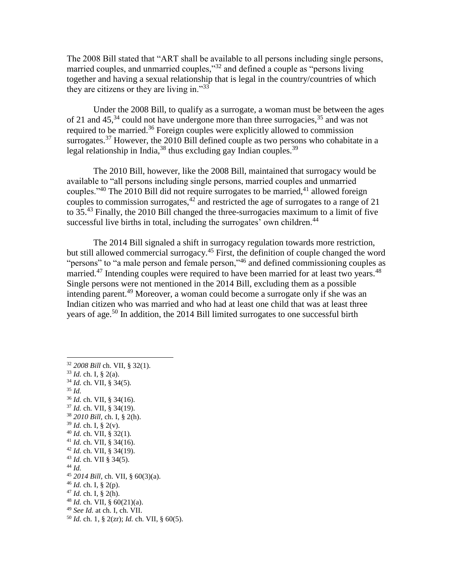The 2008 Bill stated that "ART shall be available to all persons including single persons, married couples, and unmarried couples,"<sup>32</sup> and defined a couple as "persons living together and having a sexual relationship that is legal in the country/countries of which they are citizens or they are living in." $33$ 

Under the 2008 Bill, to qualify as a surrogate, a woman must be between the ages of 21 and  $45<sup>34</sup>$  could not have undergone more than three surrogacies,  $3<sup>5</sup>$  and was not required to be married.<sup>36</sup> Foreign couples were explicitly allowed to commission surrogates.<sup>37</sup> However, the 2010 Bill defined couple as two persons who cohabitate in a legal relationship in India,<sup>38</sup> thus excluding gay Indian couples.<sup>39</sup>

The 2010 Bill, however, like the 2008 Bill, maintained that surrogacy would be available to "all persons including single persons, married couples and unmarried couples."<sup>40</sup> The 2010 Bill did not require surrogates to be married,<sup>41</sup> allowed foreign couples to commission surrogates,  $42 \text{ and restricted the age of surrogates to a range of } 21$ to 35.<sup>43</sup> Finally, the 2010 Bill changed the three-surrogacies maximum to a limit of five successful live births in total, including the surrogates' own children.<sup>44</sup>

The 2014 Bill signaled a shift in surrogacy regulation towards more restriction, but still allowed commercial surrogacy.<sup>45</sup> First, the definition of couple changed the word "persons" to "a male person and female person,"<sup>46</sup> and defined commissioning couples as married.<sup>47</sup> Intending couples were required to have been married for at least two years.<sup>48</sup> Single persons were not mentioned in the 2014 Bill, excluding them as a possible intending parent.<sup>49</sup> Moreover, a woman could become a surrogate only if she was an Indian citizen who was married and who had at least one child that was at least three years of age.<sup>50</sup> In addition, the 2014 Bill limited surrogates to one successful birth

<sup>32</sup> *2008 Bill* ch. VII, § 32(1). <sup>33</sup> *Id.* ch. I, § 2(a). <sup>34</sup> *Id.* ch. VII, § 34(5). <sup>35</sup> *Id.* <sup>36</sup> *Id.* ch. VII, § 34(16). <sup>37</sup> *Id.* ch. VII, § 34(19). <sup>38</sup> *2010 Bill,* ch. I, § 2(h). <sup>39</sup> *Id.* ch. I, § 2(v). <sup>40</sup> *Id.* ch. VII, § 32(1).  $41$  *Id.* ch. VII, § 34(16). <sup>42</sup> *Id.* ch. VII, § 34(19). <sup>43</sup> *Id.* ch. VII § 34(5). <sup>44</sup> *Id.* <sup>45</sup> *2014 Bill*, ch. VII, § 60(3)(a). <sup>46</sup> *Id.* ch. I, § 2(p).  $47$  *Id.* ch. I, § 2(h). <sup>48</sup> *Id.* ch. VII, § 60(21)(a). <sup>49</sup> *See Id.* at ch. I, ch. VII. <sup>50</sup> *Id.* ch. 1, § 2(zr); *Id.* ch. VII, § 60(5).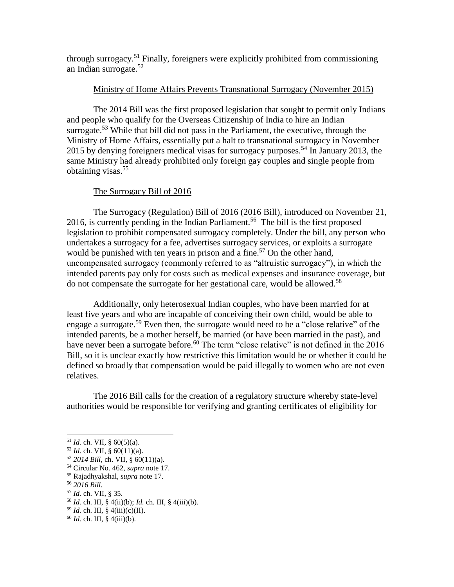through surrogacy.<sup>51</sup> Finally, foreigners were explicitly prohibited from commissioning an Indian surrogate.<sup>52</sup>

# Ministry of Home Affairs Prevents Transnational Surrogacy (November 2015)

The 2014 Bill was the first proposed legislation that sought to permit only Indians and people who qualify for the Overseas Citizenship of India to hire an Indian surrogate.<sup>53</sup> While that bill did not pass in the Parliament, the executive, through the Ministry of Home Affairs, essentially put a halt to transnational surrogacy in November 2015 by denying foreigners medical visas for surrogacy purposes.<sup>54</sup> In January 2013, the same Ministry had already prohibited only foreign gay couples and single people from obtaining visas.<sup>55</sup>

# The Surrogacy Bill of 2016

The Surrogacy (Regulation) Bill of 2016 (2016 Bill), introduced on November 21, 2016, is currently pending in the Indian Parliament.<sup>56</sup> The bill is the first proposed legislation to prohibit compensated surrogacy completely. Under the bill, any person who undertakes a surrogacy for a fee, advertises surrogacy services, or exploits a surrogate would be punished with ten years in prison and a fine.<sup>57</sup> On the other hand, uncompensated surrogacy (commonly referred to as "altruistic surrogacy"), in which the intended parents pay only for costs such as medical expenses and insurance coverage, but do not compensate the surrogate for her gestational care, would be allowed.<sup>58</sup>

Additionally, only heterosexual Indian couples, who have been married for at least five years and who are incapable of conceiving their own child, would be able to engage a surrogate.<sup>59</sup> Even then, the surrogate would need to be a "close relative" of the intended parents, be a mother herself, be married (or have been married in the past), and have never been a surrogate before.<sup>60</sup> The term "close relative" is not defined in the 2016 Bill, so it is unclear exactly how restrictive this limitation would be or whether it could be defined so broadly that compensation would be paid illegally to women who are not even relatives.

The 2016 Bill calls for the creation of a regulatory structure whereby state-level authorities would be responsible for verifying and granting certificates of eligibility for

l

<sup>57</sup> *Id.* ch. VII, § 35.

<sup>51</sup> *Id.* ch. VII, § 60(5)(a).

 $52$  *Id.* ch. VII, § 60(11)(a).

<sup>53</sup> *2014 Bill*, ch. VII, § 60(11)(a).

<sup>54</sup> Circular No. 462, *supra* not[e 17.](#page-2-0)

<sup>55</sup> Rajadhyakshal, *supra* note [17.](#page-2-0)

<sup>56</sup> *2016 Bill*.

<sup>58</sup> *Id.* ch. III, § 4(ii)(b); *Id.* ch. III, § 4(iii)(b).

<sup>59</sup> *Id.* ch. III, § 4(iii)(c)(II).

<sup>60</sup> *Id.* ch. III, § 4(iii)(b).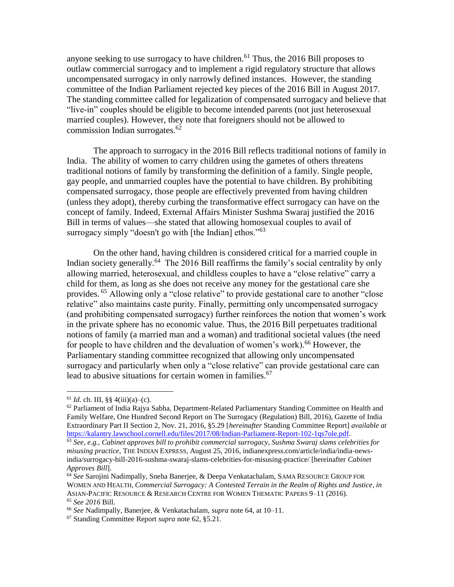anyone seeking to use surrogacy to have children.<sup>61</sup> Thus, the 2016 Bill proposes to outlaw commercial surrogacy and to implement a rigid regulatory structure that allows uncompensated surrogacy in only narrowly defined instances. However, the standing committee of the Indian Parliament rejected key pieces of the 2016 Bill in August 2017. The standing committee called for legalization of compensated surrogacy and believe that "live-in" couples should be eligible to become intended parents (not just heterosexual married couples). However, they note that foreigners should not be allowed to commission Indian surrogates.<sup>62</sup>

<span id="page-7-1"></span>The approach to surrogacy in the 2016 Bill reflects traditional notions of family in India. The ability of women to carry children using the gametes of others threatens traditional notions of family by transforming the definition of a family. Single people, gay people, and unmarried couples have the potential to have children. By prohibiting compensated surrogacy, those people are effectively prevented from having children (unless they adopt), thereby curbing the transformative effect surrogacy can have on the concept of family. Indeed, External Affairs Minister Sushma Swaraj justified the 2016 Bill in terms of values—she stated that allowing homosexual couples to avail of surrogacy simply "doesn't go with [the Indian] ethos."<sup>63</sup>

<span id="page-7-0"></span>On the other hand, having children is considered critical for a married couple in Indian society generally.<sup>64</sup> The 2016 Bill reaffirms the family's social centrality by only allowing married, heterosexual, and childless couples to have a "close relative" carry a child for them, as long as she does not receive any money for the gestational care she provides. <sup>65</sup> Allowing only a "close relative" to provide gestational care to another "close relative" also maintains caste purity. Finally, permitting only uncompensated surrogacy (and prohibiting compensated surrogacy) further reinforces the notion that women's work in the private sphere has no economic value. Thus, the 2016 Bill perpetuates traditional notions of family (a married man and a woman) and traditional societal values (the need for people to have children and the devaluation of women's work).<sup>66</sup> However, the Parliamentary standing committee recognized that allowing only uncompensated surrogacy and particularly when only a "close relative" can provide gestational care can lead to abusive situations for certain women in families.<sup>67</sup>

<span id="page-7-2"></span> $61$  *Id.* ch. III, §§ 4(iii)(a)–(c).

 $62$  Parliament of India Rajya Sabha, Department-Related Parliamentary Standing Committee on Health and Family Welfare, One Hundred Second Report on The Surrogacy (Regulation) Bill, 2016), Gazette of India Extraordinary Part II Section 2, Nov. 21, 2016, §5.29 [*hereinafter* Standing Committee Report] *available at* [https://kalantry.lawschool.cornell.edu/files/2017/08/Indian-Parliament-Report-102-1qs7ole.pdf.](https://kalantry.lawschool.cornell.edu/files/2017/08/Indian-Parliament-Report-102-1qs7ole.pdf)

<sup>63</sup> *See, e.g.*, *Cabinet approves bill to prohibit commercial surrogacy, Sushma Swaraj slams celebrities for misusing practice*, THE INDIAN EXPRESS, August 25, 2016, indianexpress.com/article/india/india-newsindia/surrogacy-bill-2016-sushma-swaraj-slams-celebrities-for-misusing-practice/ [hereinafter *Cabinet Approves Bill*].

<sup>64</sup> *See* Sarojini Nadimpally, Sneha Banerjee, & Deepa Venkatachalam, SAMA RESOURCE GROUP FOR WOMEN AND HEALTH, *Commercial Surrogacy: A Contested Terrain in the Realm of Rights and Justice*, *in* ASIAN-PACIFIC RESOURCE & RESEARCH CENTRE FOR WOMEN THEMATIC PAPERS 9–11 (2016). <sup>65</sup> *See 2016* Bill.

<sup>66</sup> *See* Nadimpally, Banerjee, & Venkatachalam, *supra* note [64,](#page-7-0) at 10–11.

<sup>67</sup> Standing Committee Report *supra* not[e 62,](#page-7-1) §5.21.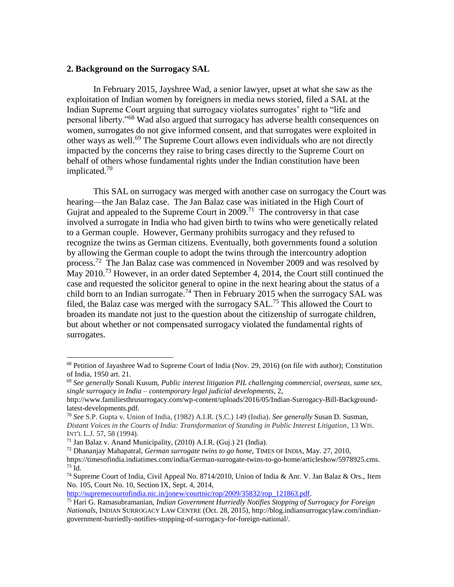#### **2. Background on the Surrogacy SAL**

<span id="page-8-0"></span>In February 2015, Jayshree Wad, a senior lawyer, upset at what she saw as the exploitation of Indian women by foreigners in media news storied, filed a SAL at the Indian Supreme Court arguing that surrogacy violates surrogates' right to "life and personal liberty."<sup>68</sup> Wad also argued that surrogacy has adverse health consequences on women, surrogates do not give informed consent, and that surrogates were exploited in other ways as well.<sup>69</sup> The Supreme Court allows even individuals who are not directly impacted by the concerns they raise to bring cases directly to the Supreme Court on behalf of others whose fundamental rights under the Indian constitution have been implicated.<sup>70</sup>

This SAL on surrogacy was merged with another case on surrogacy the Court was hearing—the Jan Balaz case. The Jan Balaz case was initiated in the High Court of Gujrat and appealed to the Supreme Court in  $2009$ .<sup>71</sup> The controversy in that case involved a surrogate in India who had given birth to twins who were genetically related to a German couple. However, Germany prohibits surrogacy and they refused to recognize the twins as German citizens. Eventually, both governments found a solution by allowing the German couple to adopt the twins through the intercountry adoption process.<sup>72</sup> The Jan Balaz case was commenced in November 2009 and was resolved by May 2010.<sup>73</sup> However, in an order dated September 4, 2014, the Court still continued the case and requested the solicitor general to opine in the next hearing about the status of a child born to an Indian surrogate.<sup>74</sup> Then in February 2015 when the surrogacy SAL was filed, the Balaz case was merged with the surrogacy SAL.<sup>75</sup> This allowed the Court to broaden its mandate not just to the question about the citizenship of surrogate children, but about whether or not compensated surrogacy violated the fundamental rights of surrogates.

<span id="page-8-1"></span> $\overline{a}$ 

[http://supremecourtofindia.nic.in/jonew/courtnic/rop/2009/35832/rop\\_121863.pdf.](http://supremecourtofindia.nic.in/jonew/courtnic/rop/2009/35832/rop_121863.pdf)

<sup>68</sup> Petition of Jayashree Wad to Supreme Court of India (Nov. 29, 2016) (on file with author); Constitution of India, 1950 art. 21.

<sup>69</sup> *See generally* Sonali Kusum, *Public interest litigation PIL challenging commercial, overseas, same sex, single surrogacy in India – contemporary legal judicial developments*, 2,

http://www.familiesthrusurrogacy.com/wp-content/uploads/2016/05/Indian-Surrogacy-Bill-Backgroundlatest-developments.pdf*.*

<sup>70</sup> *See* S.P. Gupta v. Union of India, (1982) A.I.R. (S.C.) 149 (India). *See generally* Susan D. Susman, *Distant Voices in the Courts of India: Transformation of Standing in Public Interest Litigation*, 13 WIS. INT'L L.J. 57, 58 (1994).

<sup>&</sup>lt;sup>71</sup> Jan Balaz v. Anand Municipality,  $(2010)$  A.I.R.  $(Guj.)$  21 (India).

<sup>72</sup> Dhananjay Mahapatral, *German surrogate twins to go home*, TIMES OF INDIA, May. 27, 2010, https://timesofindia.indiatimes.com/india/German-surrogate-twins-to-go-home/articleshow/5978925.cms.

 $73$  Id.

<sup>74</sup> Supreme Court of India, Civil Appeal No. 8714/2010, Union of India & Anr. V. Jan Balaz & Ors., Item No. 105, Court No. 10, Section IX, Sept. 4, 2014,

<sup>75</sup> Hari G. Ramasubramanian, *Indian Government Hurriedly Notifies Stopping of Surrogacy for Foreign Nationals*, INDIAN SURROGACY LAW CENTRE (Oct. 28, 2015), http://blog.indiansurrogacylaw.com/indiangovernment-hurriedly-notifies-stopping-of-surrogacy-for-foreign-national/.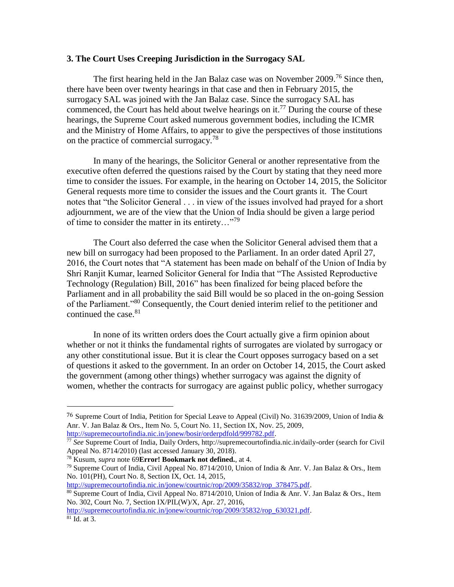## **3. The Court Uses Creeping Jurisdiction in the Surrogacy SAL**

The first hearing held in the Jan Balaz case was on November 2009.<sup>76</sup> Since then, there have been over twenty hearings in that case and then in February 2015, the surrogacy SAL was joined with the Jan Balaz case. Since the surrogacy SAL has commenced, the Court has held about twelve hearings on it.<sup>77</sup> During the course of these hearings, the Supreme Court asked numerous government bodies, including the ICMR and the Ministry of Home Affairs, to appear to give the perspectives of those institutions on the practice of commercial surrogacy.<sup>78</sup>

In many of the hearings, the Solicitor General or another representative from the executive often deferred the questions raised by the Court by stating that they need more time to consider the issues. For example, in the hearing on October 14, 2015, the Solicitor General requests more time to consider the issues and the Court grants it. The Court notes that "the Solicitor General . . . in view of the issues involved had prayed for a short adjournment, we are of the view that the Union of India should be given a large period of time to consider the matter in its entirety... $"^{79}$ 

The Court also deferred the case when the Solicitor General advised them that a new bill on surrogacy had been proposed to the Parliament. In an order dated April 27, 2016, the Court notes that "A statement has been made on behalf of the Union of India by Shri Ranjit Kumar, learned Solicitor General for India that "The Assisted Reproductive Technology (Regulation) Bill, 2016" has been finalized for being placed before the Parliament and in all probability the said Bill would be so placed in the on-going Session of the Parliament."<sup>80</sup> Consequently, the Court denied interim relief to the petitioner and continued the case. $81$ 

In none of its written orders does the Court actually give a firm opinion about whether or not it thinks the fundamental rights of surrogates are violated by surrogacy or any other constitutional issue. But it is clear the Court opposes surrogacy based on a set of questions it asked to the government. In an order on October 14, 2015, the Court asked the government (among other things) whether surrogacy was against the dignity of women, whether the contracts for surrogacy are against public policy, whether surrogacy

 $\overline{a}$ 

[http://supremecourtofindia.nic.in/jonew/courtnic/rop/2009/35832/rop\\_378475.pdf.](http://supremecourtofindia.nic.in/jonew/courtnic/rop/2009/35832/rop_378475.pdf)

<sup>76</sup> Supreme Court of India, Petition for Special Leave to Appeal (Civil) No. 31639/2009, Union of India & Anr. V. Jan Balaz & Ors., Item No. 5, Court No. 11, Section IX, Nov. 25, 2009, [http://supremecourtofindia.nic.in/jonew/bosir/orderpdfold/999782.pdf.](http://supremecourtofindia.nic.in/jonew/bosir/orderpdfold/999782.pdf)

<sup>77</sup> *See* Supreme Court of India, Daily Orders, http://supremecourtofindia.nic.in/daily-order (search for Civil Appeal No. 8714/2010) (last accessed January 30, 2018).

<sup>78</sup> Kusum, *supra* note [69](#page-8-0)**[Error! Bookmark not defined.](#page-8-0)**, at 4.

<sup>&</sup>lt;sup>79</sup> Supreme Court of India, Civil Appeal No. 8714/2010, Union of India & Anr. V. Jan Balaz & Ors., Item No. 101(PH), Court No. 8, Section IX, Oct. 14, 2015,

<sup>80</sup> Supreme Court of India, Civil Appeal No. 8714/2010, Union of India & Anr. V. Jan Balaz & Ors., Item No. 302, Court No. 7, Section IX/PIL(W)/X, Apr. 27, 2016,

[http://supremecourtofindia.nic.in/jonew/courtnic/rop/2009/35832/rop\\_630321.pdf.](http://supremecourtofindia.nic.in/jonew/courtnic/rop/2009/35832/rop_630321.pdf)  $81$  Id. at 3.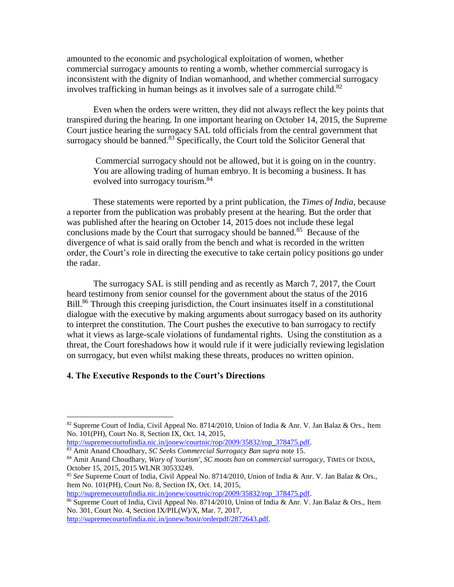amounted to the economic and psychological exploitation of women, whether commercial surrogacy amounts to renting a womb, whether commercial surrogacy is inconsistent with the dignity of Indian womanhood, and whether commercial surrogacy involves trafficking in human beings as it involves sale of a surrogate child.<sup>82</sup>

Even when the orders were written, they did not always reflect the key points that transpired during the hearing. In one important hearing on October 14, 2015, the Supreme Court justice hearing the surrogacy SAL told officials from the central government that surrogacy should be banned.<sup>83</sup> Specifically, the Court told the Solicitor General that

Commercial surrogacy should not be allowed, but it is going on in the country. You are allowing trading of human embryo. It is becoming a business. It has evolved into surrogacy tourism.<sup>84</sup>

These statements were reported by a print publication, the *Times of India*, because a reporter from the publication was probably present at the hearing. But the order that was published after the hearing on October 14, 2015 does not include these legal conclusions made by the Court that surrogacy should be banned.<sup>85</sup> Because of the divergence of what is said orally from the bench and what is recorded in the written order, the Court's role in directing the executive to take certain policy positions go under the radar.

The surrogacy SAL is still pending and as recently as March 7, 2017, the Court heard testimony from senior counsel for the government about the status of the 2016 Bill.<sup>86</sup> Through this creeping jurisdiction, the Court insinuates itself in a constitutional dialogue with the executive by making arguments about surrogacy based on its authority to interpret the constitution. The Court pushes the executive to ban surrogacy to rectify what it views as large-scale violations of fundamental rights. Using the constitution as a threat, the Court foreshadows how it would rule if it were judicially reviewing legislation on surrogacy, but even whilst making these threats, produces no written opinion.

### **4. The Executive Responds to the Court's Directions**

l

[http://supremecourtofindia.nic.in/jonew/courtnic/rop/2009/35832/rop\\_378475.pdf.](http://supremecourtofindia.nic.in/jonew/courtnic/rop/2009/35832/rop_378475.pdf)

[http://supremecourtofindia.nic.in/jonew/bosir/orderpdf/2872643.pdf.](http://supremecourtofindia.nic.in/jonew/bosir/orderpdf/2872643.pdf) 

<sup>&</sup>lt;sup>82</sup> Supreme Court of India, Civil Appeal No. 8714/2010, Union of India & Anr. V. Jan Balaz & Ors., Item No. 101(PH), Court No. 8, Section IX, Oct. 14, 2015,

[http://supremecourtofindia.nic.in/jonew/courtnic/rop/2009/35832/rop\\_378475.pdf.](http://supremecourtofindia.nic.in/jonew/courtnic/rop/2009/35832/rop_378475.pdf) <sup>83</sup> Amit Anand Choudhary, *SC Seeks Commercial Surrogacy Ban supra* note [15.](#page-2-1)

<sup>84</sup> Amit Anand Choudhary, *Wary of 'tourism', SC moots ban on commercial surrogacy*, TIMES OF INDIA, October 15, 2015, 2015 WLNR 30533249.

<sup>85</sup> *See* Supreme Court of India, Civil Appeal No. 8714/2010, Union of India & Anr. V. Jan Balaz & Ors., Item No. 101(PH), Court No. 8, Section IX, Oct. 14, 2015,

<sup>86</sup> Supreme Court of India, Civil Appeal No. 8714/2010, Union of India & Anr. V. Jan Balaz & Ors., Item No. 301, Court No. 4, Section IX/PIL(W)/X, Mar. 7, 2017,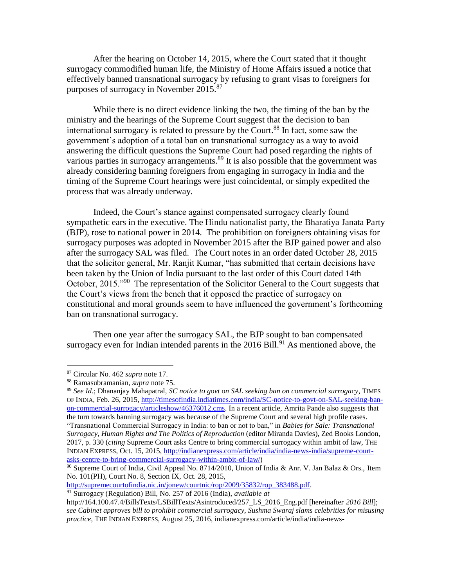After the hearing on October 14, 2015, where the Court stated that it thought surrogacy commodified human life, the Ministry of Home Affairs issued a notice that effectively banned transnational surrogacy by refusing to grant visas to foreigners for purposes of surrogacy in November 2015.<sup>87</sup>

While there is no direct evidence linking the two, the timing of the ban by the ministry and the hearings of the Supreme Court suggest that the decision to ban international surrogacy is related to pressure by the Court.<sup>88</sup> In fact, some saw the government's adoption of a total ban on transnational surrogacy as a way to avoid answering the difficult questions the Supreme Court had posed regarding the rights of various parties in surrogacy arrangements.<sup>89</sup> It is also possible that the government was already considering banning foreigners from engaging in surrogacy in India and the timing of the Supreme Court hearings were just coincidental, or simply expedited the process that was already underway.

Indeed, the Court's stance against compensated surrogacy clearly found sympathetic ears in the executive. The Hindu nationalist party, the Bharatiya Janata Party (BJP), rose to national power in 2014. The prohibition on foreigners obtaining visas for surrogacy purposes was adopted in November 2015 after the BJP gained power and also after the surrogacy SAL was filed. The Court notes in an order dated October 28, 2015 that the solicitor general, Mr. Ranjit Kumar, "has submitted that certain decisions have been taken by the Union of India pursuant to the last order of this Court dated 14th October, 2015."<sup>90</sup> The representation of the Solicitor General to the Court suggests that the Court's views from the bench that it opposed the practice of surrogacy on constitutional and moral grounds seem to have influenced the government's forthcoming ban on transnational surrogacy.

Then one year after the surrogacy SAL, the BJP sought to ban compensated surrogacy even for Indian intended parents in the  $2016$  Bill.<sup>91</sup> As mentioned above, the

l

[http://supremecourtofindia.nic.in/jonew/courtnic/rop/2009/35832/rop\\_383488.pdf.](http://supremecourtofindia.nic.in/jonew/courtnic/rop/2009/35832/rop_383488.pdf)

<sup>91</sup> Surrogacy (Regulation) Bill, No. 257 of 2016 (India), *available at* 

<sup>87</sup> Circular No. 462 *supra* note [17.](#page-2-0)

<sup>88</sup> Ramasubramanian, *supra* note [75.](#page-8-1)

<sup>89</sup> *See Id.*; Dhananjay Mahapatral, *SC notice to govt on SAL seeking ban on commercial surrogacy*, TIMES OF INDIA, Feb. 26, 2015[, http://timesofindia.indiatimes.com/india/SC-notice-to-govt-on-SAL-seeking-ban](http://timesofindia.indiatimes.com/india/SC-notice-to-govt-on-PIL-seeking-ban-on-commercial-surrogacy/articleshow/46376012.cms)[on-commercial-surrogacy/articleshow/46376012.cms.](http://timesofindia.indiatimes.com/india/SC-notice-to-govt-on-PIL-seeking-ban-on-commercial-surrogacy/articleshow/46376012.cms) In a recent article, Amrita Pande also suggests that the turn towards banning surrogacy was because of the Supreme Court and several high profile cases. "Transnational Commercial Surrogacy in India: to ban or not to ban," in *Babies for Sale: Transnational Surrogacy, Human Rights and The Politics of Reproduction* (editor Miranda Davies), Zed Books London, 2017, p. 330 (*citing* Supreme Court asks Centre to bring commercial surrogacy within ambit of law, THE INDIAN EXPRESS, Oct. 15, 2015, [http://indianexpress.com/article/india/india-news-india/supreme-court](http://indianexpress.com/article/india/india-news-india/supreme-court-asks-centre-to-bring-commercial-surrogacy-within-ambit-of-law/)[asks-centre-to-bring-commercial-surrogacy-within-ambit-of-law/\)](http://indianexpress.com/article/india/india-news-india/supreme-court-asks-centre-to-bring-commercial-surrogacy-within-ambit-of-law/)

 $90$  Supreme Court of India, Civil Appeal No. 8714/2010, Union of India & Anr. V. Jan Balaz & Ors., Item No. 101(PH), Court No. 8, Section IX, Oct. 28, 2015,

http://164.100.47.4/BillsTexts/LSBillTexts/Asintroduced/257\_LS\_2016\_Eng.pdf [hereinafter *2016 Bill*]; *see Cabinet approves bill to prohibit commercial surrogacy, Sushma Swaraj slams celebrities for misusing practice*, THE INDIAN EXPRESS, August 25, 2016, indianexpress.com/article/india/india-news-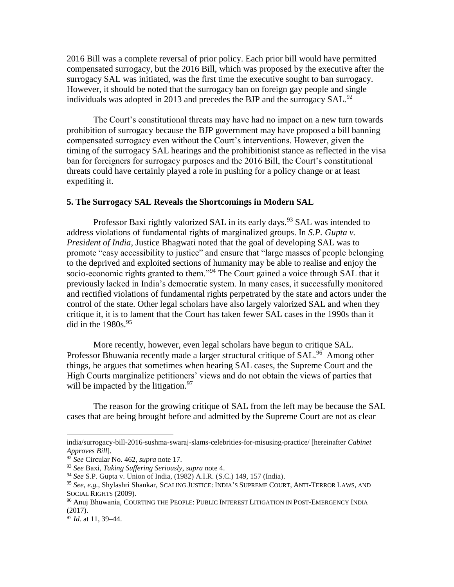2016 Bill was a complete reversal of prior policy. Each prior bill would have permitted compensated surrogacy, but the 2016 Bill, which was proposed by the executive after the surrogacy SAL was initiated, was the first time the executive sought to ban surrogacy. However, it should be noted that the surrogacy ban on foreign gay people and single individuals was adopted in 2013 and precedes the BJP and the surrogacy SAL.<sup>92</sup>

The Court's constitutional threats may have had no impact on a new turn towards prohibition of surrogacy because the BJP government may have proposed a bill banning compensated surrogacy even without the Court's interventions. However, given the timing of the surrogacy SAL hearings and the prohibitionist stance as reflected in the visa ban for foreigners for surrogacy purposes and the 2016 Bill, the Court's constitutional threats could have certainly played a role in pushing for a policy change or at least expediting it.

#### **5. The Surrogacy SAL Reveals the Shortcomings in Modern SAL**

Professor Baxi rightly valorized SAL in its early days.<sup>93</sup> SAL was intended to address violations of fundamental rights of marginalized groups. In *S.P. Gupta v. President of India*, Justice Bhagwati noted that the goal of developing SAL was to promote "easy accessibility to justice" and ensure that "large masses of people belonging to the deprived and exploited sections of humanity may be able to realise and enjoy the socio-economic rights granted to them."<sup>94</sup> The Court gained a voice through SAL that it previously lacked in India's democratic system. In many cases, it successfully monitored and rectified violations of fundamental rights perpetrated by the state and actors under the control of the state. Other legal scholars have also largely valorized SAL and when they critique it, it is to lament that the Court has taken fewer SAL cases in the 1990s than it did in the  $1980s.^{95}$ 

<span id="page-12-0"></span>More recently, however, even legal scholars have begun to critique SAL. Professor Bhuwania recently made a larger structural critique of SAL.<sup>96</sup> Among other things, he argues that sometimes when hearing SAL cases, the Supreme Court and the High Courts marginalize petitioners' views and do not obtain the views of parties that will be impacted by the litigation.  $97$ 

The reason for the growing critique of SAL from the left may be because the SAL cases that are being brought before and admitted by the Supreme Court are not as clear

india/surrogacy-bill-2016-sushma-swaraj-slams-celebrities-for-misusing-practice/ [hereinafter *Cabinet Approves Bill*].

<sup>92</sup> *See* Circular No. 462, *supra* note [17.](#page-2-0)

<sup>93</sup> *See* Baxi, *Taking Suffering Seriously*, *supra* note [4.](#page-0-0)

<sup>94</sup> *See* S.P. Gupta v. Union of India, (1982) A.I.R. (S.C.) 149, 157 (India).

<sup>95</sup> *See, e.g.*, Shylashri Shankar, SCALING JUSTICE: INDIA'S SUPREME COURT, ANTI-TERROR LAWS, AND SOCIAL RIGHTS (2009).

<sup>96</sup> Anuj Bhuwania, COURTING THE PEOPLE: PUBLIC INTEREST LITIGATION IN POST-EMERGENCY INDIA (2017).

<sup>97</sup> *Id.* at 11, 39–44.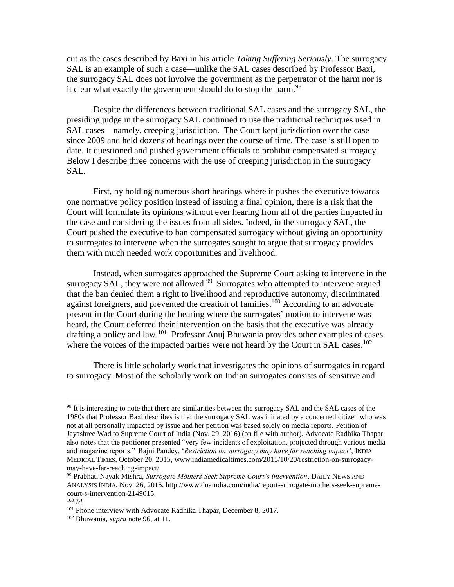cut as the cases described by Baxi in his article *Taking Suffering Seriously*. The surrogacy SAL is an example of such a case—unlike the SAL cases described by Professor Baxi, the surrogacy SAL does not involve the government as the perpetrator of the harm nor is it clear what exactly the government should do to stop the harm.<sup>98</sup>

Despite the differences between traditional SAL cases and the surrogacy SAL, the presiding judge in the surrogacy SAL continued to use the traditional techniques used in SAL cases—namely, creeping jurisdiction. The Court kept jurisdiction over the case since 2009 and held dozens of hearings over the course of time. The case is still open to date. It questioned and pushed government officials to prohibit compensated surrogacy. Below I describe three concerns with the use of creeping jurisdiction in the surrogacy SAL.

First, by holding numerous short hearings where it pushes the executive towards one normative policy position instead of issuing a final opinion, there is a risk that the Court will formulate its opinions without ever hearing from all of the parties impacted in the case and considering the issues from all sides. Indeed, in the surrogacy SAL, the Court pushed the executive to ban compensated surrogacy without giving an opportunity to surrogates to intervene when the surrogates sought to argue that surrogacy provides them with much needed work opportunities and livelihood.

Instead, when surrogates approached the Supreme Court asking to intervene in the surrogacy SAL, they were not allowed.<sup>99</sup> Surrogates who attempted to intervene argued that the ban denied them a right to livelihood and reproductive autonomy, discriminated against foreigners, and prevented the creation of families.<sup>100</sup> According to an advocate present in the Court during the hearing where the surrogates' motion to intervene was heard, the Court deferred their intervention on the basis that the executive was already drafting a policy and law.<sup>101</sup> Professor Anuj Bhuwania provides other examples of cases where the voices of the impacted parties were not heard by the Court in SAL cases.<sup>102</sup>

There is little scholarly work that investigates the opinions of surrogates in regard to surrogacy. Most of the scholarly work on Indian surrogates consists of sensitive and

<sup>&</sup>lt;sup>98</sup> It is interesting to note that there are similarities between the surrogacy SAL and the SAL cases of the 1980s that Professor Baxi describes is that the surrogacy SAL was initiated by a concerned citizen who was not at all personally impacted by issue and her petition was based solely on media reports. Petition of Jayashree Wad to Supreme Court of India (Nov. 29, 2016) (on file with author). Advocate Radhika Thapar also notes that the petitioner presented "very few incidents of exploitation, projected through various media and magazine reports." Rajni Pandey, '*Restriction on surrogacy may have far reaching impact'*, INDIA MEDICAL TIMES, October 20, 2015, www.indiamedicaltimes.com/2015/10/20/restriction-on-surrogacymay-have-far-reaching-impact/.

<sup>99</sup> Prabhati Nayak Mishra, *Surrogate Mothers Seek Supreme Court's intervention*, DAILY NEWS AND ANALYSIS INDIA, Nov. 26, 2015, http://www.dnaindia.com/india/report-surrogate-mothers-seek-supremecourt-s-intervention-2149015.

<sup>100</sup> *Id.*

<sup>&</sup>lt;sup>101</sup> Phone interview with Advocate Radhika Thapar, December 8, 2017.

<sup>102</sup> Bhuwania, *supra* note [96,](#page-12-0) at 11.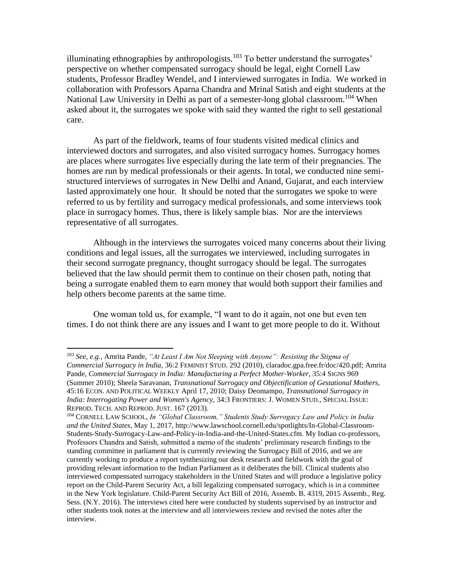illuminating ethnographies by anthropologists.<sup>103</sup> To better understand the surrogates' perspective on whether compensated surrogacy should be legal, eight Cornell Law students, Professor Bradley Wendel, and I interviewed surrogates in India. We worked in collaboration with Professors Aparna Chandra and Mrinal Satish and eight students at the National Law University in Delhi as part of a semester-long global classroom.<sup>104</sup> When asked about it, the surrogates we spoke with said they wanted the right to sell gestational care.

As part of the fieldwork, teams of four students visited medical clinics and interviewed doctors and surrogates, and also visited surrogacy homes. Surrogacy homes are places where surrogates live especially during the late term of their pregnancies. The homes are run by medical professionals or their agents. In total, we conducted nine semistructured interviews of surrogates in New Delhi and Anand, Gujarat, and each interview lasted approximately one hour. It should be noted that the surrogates we spoke to were referred to us by fertility and surrogacy medical professionals, and some interviews took place in surrogacy homes. Thus, there is likely sample bias. Nor are the interviews representative of all surrogates.

Although in the interviews the surrogates voiced many concerns about their living conditions and legal issues, all the surrogates we interviewed, including surrogates in their second surrogate pregnancy, thought surrogacy should be legal. The surrogates believed that the law should permit them to continue on their chosen path, noting that being a surrogate enabled them to earn money that would both support their families and help others become parents at the same time.

One woman told us, for example, "I want to do it again, not one but even ten times. I do not think there are any issues and I want to get more people to do it. Without

<sup>103</sup> *See, e.g.*, Amrita Pande, *"At Least I Am Not Sleeping with Anyone": Resisting the Stigma of Commercial Surrogacy in India*, 36:2 FEMINIST STUD. 292 (2010), claradoc.gpa.free.fr/doc/420.pdf; Amrita Pande, *Commercial Surrogacy in India: Manufacturing a Perfect Mother‐Worker*, 35:4 SIGNS 969 (Summer 2010); Sheela Saravanan, *Transnational Surrogacy and Objectification of Gestational Mothers,* 45:16 ECON. AND POLITICAL WEEKLY April 17, 2010; Daisy Deomampo, *Transnational Surrogacy in India: Interrogating Power and Women's Agency*, 34:3 FRONTIERS: J. WOMEN STUD., SPECIAL ISSUE: REPROD. TECH. AND REPROD. JUST. 167 (2013).

<sup>104</sup> CORNELL LAW SCHOOL, *In "Global Classroom," Students Study Surrogacy Law and Policy in India and the United States*, May 1, 2017, http://www.lawschool.cornell.edu/spotlights/In-Global-Classroom-Students-Study-Surrogacy-Law-and-Policy-in-India-and-the-United-States.cfm. My Indian co-professors, Professors Chandra and Satish, submitted a memo of the students' preliminary research findings to the standing committee in parliament that is currently reviewing the Surrogacy Bill of 2016, and we are currently working to produce a report synthesizing our desk research and fieldwork with the goal of providing relevant information to the Indian Parliament as it deliberates the bill. Clinical students also interviewed compensated surrogacy stakeholders in the United States and will produce a legislative policy report on the Child-Parent Security Act, a bill legalizing compensated surrogacy, which is in a committee in the New York legislature. Child-Parent Security Act Bill of 2016, Assemb. B. 4319, 2015 Assemb., Reg. Sess. (N.Y. 2016). The interviews cited here were conducted by students supervised by an instructor and other students took notes at the interview and all interviewees review and revised the notes after the interview.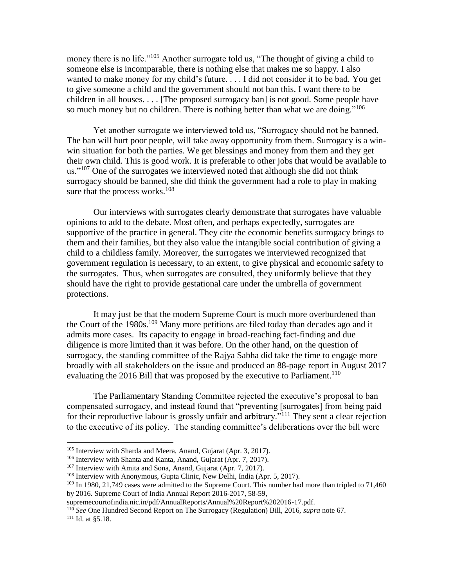<span id="page-15-0"></span>money there is no life."<sup>105</sup> Another surrogate told us, "The thought of giving a child to someone else is incomparable, there is nothing else that makes me so happy. I also wanted to make money for my child's future. . . . I did not consider it to be bad. You get to give someone a child and the government should not ban this. I want there to be children in all houses. . . . [The proposed surrogacy ban] is not good. Some people have so much money but no children. There is nothing better than what we are doing."<sup>106</sup>

<span id="page-15-1"></span>Yet another surrogate we interviewed told us, "Surrogacy should not be banned. The ban will hurt poor people, will take away opportunity from them. Surrogacy is a winwin situation for both the parties. We get blessings and money from them and they get their own child. This is good work. It is preferable to other jobs that would be available to us." $107$  One of the surrogates we interviewed noted that although she did not think surrogacy should be banned, she did think the government had a role to play in making sure that the process works. $108$ 

Our interviews with surrogates clearly demonstrate that surrogates have valuable opinions to add to the debate. Most often, and perhaps expectedly, surrogates are supportive of the practice in general. They cite the economic benefits surrogacy brings to them and their families, but they also value the intangible social contribution of giving a child to a childless family. Moreover, the surrogates we interviewed recognized that government regulation is necessary, to an extent, to give physical and economic safety to the surrogates. Thus, when surrogates are consulted, they uniformly believe that they should have the right to provide gestational care under the umbrella of government protections.

It may just be that the modern Supreme Court is much more overburdened than the Court of the 1980s.<sup>109</sup> Many more petitions are filed today than decades ago and it admits more cases. Its capacity to engage in broad-reaching fact-finding and due diligence is more limited than it was before. On the other hand, on the question of surrogacy, the standing committee of the Rajya Sabha did take the time to engage more broadly with all stakeholders on the issue and produced an 88-page report in August 2017 evaluating the 2016 Bill that was proposed by the executive to Parliament.<sup>110</sup>

The Parliamentary Standing Committee rejected the executive's proposal to ban compensated surrogacy, and instead found that "preventing [surrogates] from being paid for their reproductive labour is grossly unfair and arbitrary."<sup>111</sup> They sent a clear rejection to the executive of its policy. The standing committee's deliberations over the bill were

<sup>&</sup>lt;sup>105</sup> Interview with Sharda and Meera, Anand, Gujarat (Apr. 3, 2017).

<sup>106</sup> Interview with Shanta and Kanta, Anand, Gujarat (Apr. 7, 2017).

<sup>107</sup> Interview with Amita and Sona, Anand, Gujarat (Apr. 7, 2017).

<sup>&</sup>lt;sup>108</sup> Interview with Anonymous, Gupta Clinic, New Delhi, India (Apr. 5, 2017).

<sup>&</sup>lt;sup>109</sup> In 1980, 21,749 cases were admitted to the Supreme Court. This number had more than tripled to 71,460 by 2016. Supreme Court of India Annual Report 2016-2017, 58-59,

supremecourtofindia.nic.in/pdf/AnnualReports/Annual%20Report%202016-17.pdf.

<sup>110</sup> *See* One Hundred Second Report on The Surrogacy (Regulation) Bill, 2016, *supra* note [67.](#page-7-2) <sup>111</sup> Id. at §5.18.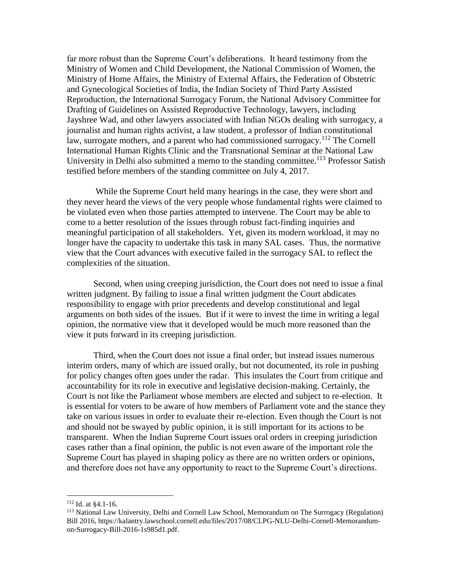far more robust than the Supreme Court's deliberations. It heard testimony from the Ministry of Women and Child Development, the National Commission of Women, the Ministry of Home Affairs, the Ministry of External Affairs, the Federation of Obstetric and Gynecological Societies of India, the Indian Society of Third Party Assisted Reproduction, the International Surrogacy Forum, the National Advisory Committee for Drafting of Guidelines on Assisted Reproductive Technology, lawyers, including Jayshree Wad, and other lawyers associated with Indian NGOs dealing with surrogacy, a journalist and human rights activist, a law student, a professor of Indian constitutional law, surrogate mothers, and a parent who had commissioned surrogacy.<sup>112</sup> The Cornell International Human Rights Clinic and the Transnational Seminar at the National Law University in Delhi also submitted a memo to the standing committee.<sup>113</sup> Professor Satish testified before members of the standing committee on July 4, 2017.

While the Supreme Court held many hearings in the case, they were short and they never heard the views of the very people whose fundamental rights were claimed to be violated even when those parties attempted to intervene. The Court may be able to come to a better resolution of the issues through robust fact-finding inquiries and meaningful participation of all stakeholders. Yet, given its modern workload, it may no longer have the capacity to undertake this task in many SAL cases. Thus, the normative view that the Court advances with executive failed in the surrogacy SAL to reflect the complexities of the situation.

Second, when using creeping jurisdiction, the Court does not need to issue a final written judgment. By failing to issue a final written judgment the Court abdicates responsibility to engage with prior precedents and develop constitutional and legal arguments on both sides of the issues. But if it were to invest the time in writing a legal opinion, the normative view that it developed would be much more reasoned than the view it puts forward in its creeping jurisdiction.

Third, when the Court does not issue a final order, but instead issues numerous interim orders, many of which are issued orally, but not documented, its role in pushing for policy changes often goes under the radar. This insulates the Court from critique and accountability for its role in executive and legislative decision-making. Certainly, the Court is not like the Parliament whose members are elected and subject to re-election. It is essential for voters to be aware of how members of Parliament vote and the stance they take on various issues in order to evaluate their re-election. Even though the Court is not and should not be swayed by public opinion, it is still important for its actions to be transparent. When the Indian Supreme Court issues oral orders in creeping jurisdiction cases rather than a final opinion, the public is not even aware of the important role the Supreme Court has played in shaping policy as there are no written orders or opinions, and therefore does not have any opportunity to react to the Supreme Court's directions.

<sup>112</sup> Id. at §4.1-16.

<sup>113</sup> National Law University, Delhi and Cornell Law School, Memorandum on The Surrogacy (Regulation) Bill 2016, https://kalantry.lawschool.cornell.edu/files/2017/08/CLPG-NLU-Delhi-Cornell-Memorandumon-Surrogacy-Bill-2016-1s985d1.pdf.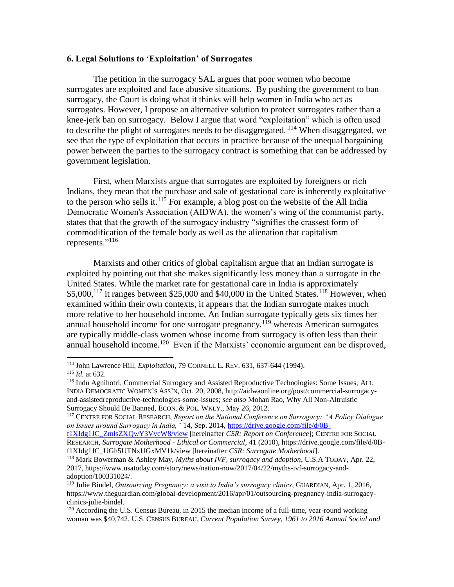## **6. Legal Solutions to 'Exploitation' of Surrogates**

<span id="page-17-0"></span>The petition in the surrogacy SAL argues that poor women who become surrogates are exploited and face abusive situations. By pushing the government to ban surrogacy, the Court is doing what it thinks will help women in India who act as surrogates. However, I propose an alternative solution to protect surrogates rather than a knee-jerk ban on surrogacy. Below I argue that word "exploitation" which is often used to describe the plight of surrogates needs to be disaggregated.  $114$  When disaggregated, we see that the type of exploitation that occurs in practice because of the unequal bargaining power between the parties to the surrogacy contract is something that can be addressed by government legislation.

First, when Marxists argue that surrogates are exploited by foreigners or rich Indians, they mean that the purchase and sale of gestational care is inherently exploitative to the person who sells it.<sup>115</sup> For example, a blog post on the website of the All India Democratic Women's Association (AIDWA), the women's wing of the communist party, states that that the growth of the surrogacy industry "signifies the crassest form of commodification of the female body as well as the alienation that capitalism represents."<sup>116</sup>

<span id="page-17-1"></span>Marxists and other critics of global capitalism argue that an Indian surrogate is exploited by pointing out that she makes significantly less money than a surrogate in the United States. While the market rate for gestational care in India is approximately  $$5,000$ ,<sup>117</sup> it ranges between  $$25,000$  and  $$40,000$  in the United States.<sup>118</sup> However, when examined within their own contexts, it appears that the Indian surrogate makes much more relative to her household income. An Indian surrogate typically gets six times her annual household income for one surrogate pregnancy,  $119$  whereas American surrogates are typically middle-class women whose income from surrogacy is often less than their annual household income.<sup>120</sup> Even if the Marxists' economic argument can be disproved,

<sup>114</sup> John Lawrence Hill, *Exploitation*, 79 CORNELL L. REV. 631, 637-644 (1994).

<sup>115</sup> *Id.* at 632.

<sup>116</sup> Indu Agnihotri, Commercial Surrogacy and Assisted Reproductive Technologies: Some Issues, ALL INDIA DEMOCRATIC WOMEN'S ASS'N, Oct. 20, 2008, http://aidwaonline.org/post/commercial-surrogacyand-assistedreproductive-technologies-some-issues; *see also* Mohan Rao, Why All Non-Altruistic Surrogacy Should Be Banned, ECON. & POL. WKLY., May 26, 2012*.*

<sup>117</sup> CENTRE FOR SOCIAL RESEARCH, *Report on the National Conference on Surrogacy: "A Policy Dialogue on Issues around Surrogacy in India,"* 14, Sep. 2014, [https://drive.google.com/file/d/0B-](https://drive.google.com/file/d/0B-f1XIdg1JC_ZmlsZXQwY3VvcW8/view)

[f1XIdg1JC\\_ZmlsZXQwY3VvcW8/view](https://drive.google.com/file/d/0B-f1XIdg1JC_ZmlsZXQwY3VvcW8/view) [hereinafter *CSR: Report on Conference*]; CENTRE FOR SOCIAL RESEARCH, *Surrogate Motherhood - Ethical or Commercial,* 41 (2010), https://drive.google.com/file/d/0Bf1XIdg1JC\_UGh5UTNxUGxMV1k/view [hereinafter *CSR: Surrogate Motherhood*].

<sup>118</sup> Mark Bowerman & Ashley May, *Myths about IVF, surrogacy and adoption*, U.S.A TODAY, Apr. 22, 2017, https://www.usatoday.com/story/news/nation-now/2017/04/22/myths-ivf-surrogacy-andadoption/100331024/.

<sup>119</sup> Julie Bindel, *Outsourcing Pregnancy: a visit to India's surrogacy clinics*, GUARDIAN, Apr. 1, 2016, https://www.theguardian.com/global-development/2016/apr/01/outsourcing-pregnancy-india-surrogacyclinics-julie-bindel.

<sup>&</sup>lt;sup>120</sup> According the U.S. Census Bureau, in 2015 the median income of a full-time, year-round working woman was \$40,742. U.S. CENSUS BUREAU*, Current Population Survey, 1961 to 2016 Annual Social and*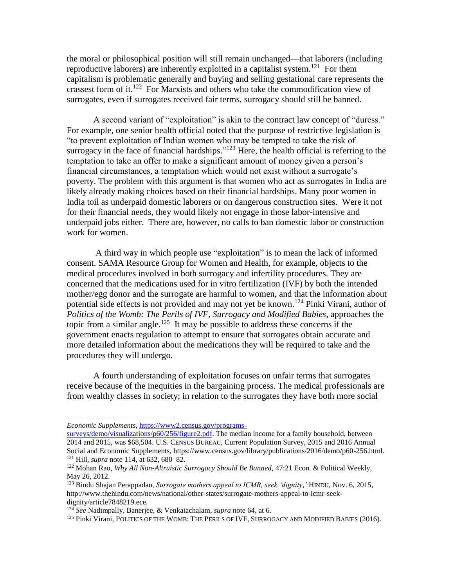the moral or philosophical position will still remain unchanged—that laborers (including reproductive laborers) are inherently exploited in a capitalist system.<sup>121</sup> For them capitalism is problematic generally and buying and selling gestational care represents the crassest form of it.<sup>122</sup> For Marxists and others who take the commodification view of surrogates, even if surrogates received fair terms, surrogacy should still be banned.

A second variant of "exploitation" is akin to the contract law concept of "duress." For example, one senior health official noted that the purpose of restrictive legislation is "to prevent exploitation of Indian women who may be tempted to take the risk of surrogacy in the face of financial hardships."<sup>123</sup> Here, the health official is referring to the temptation to take an offer to make a significant amount of money given a person's financial circumstances, a temptation which would not exist without a surrogate's poverty. The problem with this argument is that women who act as surrogates in India are likely already making choices based on their financial hardships. Many poor women in India toil as underpaid domestic laborers or on dangerous construction sites. Were it not for their financial needs, they would likely not engage in those labor-intensive and underpaid jobs either. There are, however, no calls to ban domestic labor or construction work for women.

A third way in which people use "exploitation" is to mean the lack of informed consent. SAMA Resource Group for Women and Health, for example, objects to the medical procedures involved in both surrogacy and infertility procedures. They are concerned that the medications used for in vitro fertilization (IVF) by both the intended mother/egg donor and the surrogate are harmful to women, and that the information about potential side effects is not provided and may not yet be known.<sup>124</sup> Pinki Virani, author of *Politics of the Womb: The Perils of IVF, Surrogacy and Modified Babies*, approaches the topic from a similar angle.<sup>125</sup> It may be possible to address these concerns if the government enacts regulation to attempt to ensure that surrogates obtain accurate and more detailed information about the medications they will be required to take and the procedures they will undergo.

A fourth understanding of exploitation focuses on unfair terms that surrogates receive because of the inequities in the bargaining process. The medical professionals are from wealthy classes in society; in relation to the surrogates they have both more social

*Economic Supplements,* [https://www2.census.gov/programs-](https://www2.census.gov/programs-surveys/demo/visualizations/p60/256/figure2.pdf)

[surveys/demo/visualizations/p60/256/figure2.pdf.](https://www2.census.gov/programs-surveys/demo/visualizations/p60/256/figure2.pdf) The median income for a family household, between 2014 and 2015, was \$68,504. U.S. CENSUS BUREAU, Current Population Survey, 2015 and 2016 Annual Social and Economic Supplements, https://www.census.gov/library/publications/2016/demo/p60-256.html. <sup>121</sup> Hill, *supra* note [114,](#page-17-0) at 632, 680–82.

<sup>122</sup> Mohan Rao, *Why All Non-Altruistic Surrogacy Should Be Banned*, 47:21 Econ. & Political Weekly, May 26, 2012.

<sup>123</sup> Bindu Shajan Perappadan, *Surrogate mothers appeal to ICMR, seek 'dignity*,*'* HINDU, Nov. 6, 2015, http://www.thehindu.com/news/national/other-states/surrogate-mothers-appeal-to-icmr-seekdignity/article7848219.ece.

<sup>124</sup> *See* Nadimpally, Banerjee, & Venkatachalam, *supra* note [64,](#page-7-0) at 6.

<sup>&</sup>lt;sup>125</sup> Pinki Virani, POLITICS OF THE WOMB: THE PERILS OF IVF, SURROGACY AND MODIFIED BABIES (2016).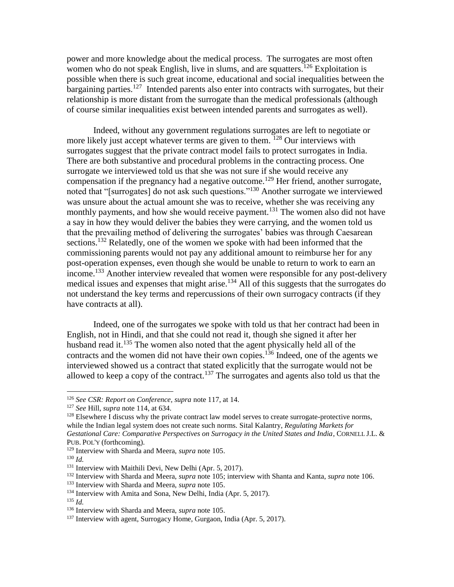power and more knowledge about the medical process. The surrogates are most often women who do not speak English, live in slums, and are squatters.<sup>126</sup> Exploitation is possible when there is such great income, educational and social inequalities between the bargaining parties.<sup>127</sup> Intended parents also enter into contracts with surrogates, but their relationship is more distant from the surrogate than the medical professionals (although of course similar inequalities exist between intended parents and surrogates as well).

Indeed, without any government regulations surrogates are left to negotiate or more likely just accept whatever terms are given to them.  $128$  Our interviews with surrogates suggest that the private contract model fails to protect surrogates in India. There are both substantive and procedural problems in the contracting process. One surrogate we interviewed told us that she was not sure if she would receive any compensation if the pregnancy had a negative outcome.<sup>129</sup> Her friend, another surrogate, noted that "[surrogates] do not ask such questions."<sup>130</sup> Another surrogate we interviewed was unsure about the actual amount she was to receive, whether she was receiving any monthly payments, and how she would receive payment.<sup>131</sup> The women also did not have a say in how they would deliver the babies they were carrying, and the women told us that the prevailing method of delivering the surrogates' babies was through Caesarean sections.<sup>132</sup> Relatedly, one of the women we spoke with had been informed that the commissioning parents would not pay any additional amount to reimburse her for any post-operation expenses, even though she would be unable to return to work to earn an income.<sup>133</sup> Another interview revealed that women were responsible for any post-delivery medical issues and expenses that might arise.<sup>134</sup> All of this suggests that the surrogates do not understand the key terms and repercussions of their own surrogacy contracts (if they have contracts at all).

Indeed, one of the surrogates we spoke with told us that her contract had been in English, not in Hindi, and that she could not read it, though she signed it after her husband read it.<sup>135</sup> The women also noted that the agent physically held all of the contracts and the women did not have their own copies.<sup>136</sup> Indeed, one of the agents we interviewed showed us a contract that stated explicitly that the surrogate would not be allowed to keep a copy of the contract.<sup>137</sup> The surrogates and agents also told us that the

<sup>126</sup> *See CSR: Report on Conference, supra* not[e 117,](#page-17-1) at 14.

<sup>127</sup> *See* Hill, *supra* note [114,](#page-17-0) at 634.

 $128$  Elsewhere I discuss why the private contract law model serves to create surrogate-protective norms, while the Indian legal system does not create such norms. Sital Kalantry, *Regulating Markets for Gestational Care: Comparative Perspectives on Surrogacy in the United States and India*, CORNELL J.L. & PUB. POL'Y (forthcoming).

<sup>129</sup> Interview with Sharda and Meera, *supra* note [105.](#page-15-0)

<sup>130</sup> *Id.*

<sup>131</sup> Interview with Maithili Devi, New Delhi (Apr. 5, 2017).

<sup>132</sup> Interview with Sharda and Meera, *supra* note [105;](#page-15-0) interview with Shanta and Kanta, *supra* not[e 106.](#page-15-1)

<sup>133</sup> Interview with Sharda and Meera, *supra* note [105.](#page-15-0)

<sup>134</sup> Interview with Amita and Sona, New Delhi, India (Apr. 5, 2017).

<sup>135</sup> *Id.*

<sup>136</sup> Interview with Sharda and Meera, *supra* note [105.](#page-15-0)

<sup>&</sup>lt;sup>137</sup> Interview with agent, Surrogacy Home, Gurgaon, India (Apr. 5, 2017).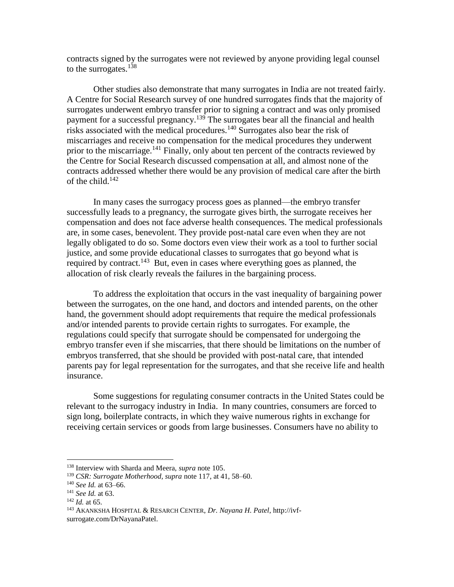contracts signed by the surrogates were not reviewed by anyone providing legal counsel to the surrogates.<sup>138</sup>

Other studies also demonstrate that many surrogates in India are not treated fairly. A Centre for Social Research survey of one hundred surrogates finds that the majority of surrogates underwent embryo transfer prior to signing a contract and was only promised payment for a successful pregnancy.<sup>139</sup> The surrogates bear all the financial and health risks associated with the medical procedures.<sup>140</sup> Surrogates also bear the risk of miscarriages and receive no compensation for the medical procedures they underwent prior to the miscarriage.<sup>141</sup> Finally, only about ten percent of the contracts reviewed by the Centre for Social Research discussed compensation at all, and almost none of the contracts addressed whether there would be any provision of medical care after the birth of the child. $142$ 

In many cases the surrogacy process goes as planned—the embryo transfer successfully leads to a pregnancy, the surrogate gives birth, the surrogate receives her compensation and does not face adverse health consequences. The medical professionals are, in some cases, benevolent. They provide post-natal care even when they are not legally obligated to do so. Some doctors even view their work as a tool to further social justice, and some provide educational classes to surrogates that go beyond what is required by contract.<sup>143</sup> But, even in cases where everything goes as planned, the allocation of risk clearly reveals the failures in the bargaining process.

To address the exploitation that occurs in the vast inequality of bargaining power between the surrogates, on the one hand, and doctors and intended parents, on the other hand, the government should adopt requirements that require the medical professionals and/or intended parents to provide certain rights to surrogates. For example, the regulations could specify that surrogate should be compensated for undergoing the embryo transfer even if she miscarries, that there should be limitations on the number of embryos transferred, that she should be provided with post-natal care, that intended parents pay for legal representation for the surrogates, and that she receive life and health insurance.

Some suggestions for regulating consumer contracts in the United States could be relevant to the surrogacy industry in India. In many countries, consumers are forced to sign long, boilerplate contracts, in which they waive numerous rights in exchange for receiving certain services or goods from large businesses. Consumers have no ability to

<sup>138</sup> Interview with Sharda and Meera, *supra* note [105.](#page-15-0)

<sup>139</sup> *CSR: Surrogate Motherhood, supra* note [117,](#page-17-1) at 41, 58–60.

<sup>140</sup> *See Id.* at 63–66.

<sup>141</sup> *See Id.* at 63.

<sup>142</sup> *Id.* at 65.

<sup>143</sup> AKANKSHA HOSPITAL & RESARCH CENTER, *Dr. Nayana H. Patel*, http://ivfsurrogate.com/DrNayanaPatel.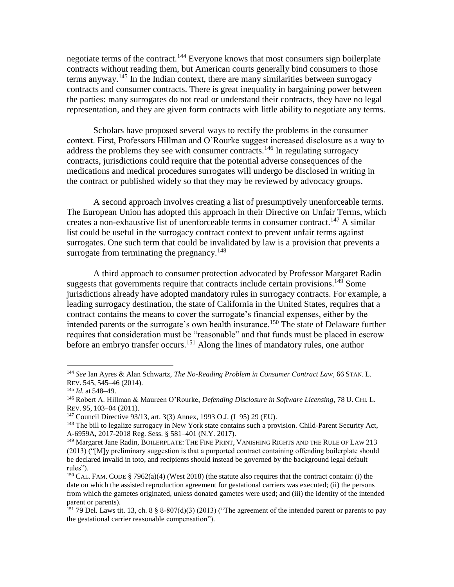negotiate terms of the contract.<sup>144</sup> Everyone knows that most consumers sign boilerplate contracts without reading them, but American courts generally bind consumers to those terms anyway.<sup>145</sup> In the Indian context, there are many similarities between surrogacy contracts and consumer contracts. There is great inequality in bargaining power between the parties: many surrogates do not read or understand their contracts, they have no legal representation, and they are given form contracts with little ability to negotiate any terms.

Scholars have proposed several ways to rectify the problems in the consumer context. First, Professors Hillman and O'Rourke suggest increased disclosure as a way to address the problems they see with consumer contracts.<sup>146</sup> In regulating surrogacy contracts, jurisdictions could require that the potential adverse consequences of the medications and medical procedures surrogates will undergo be disclosed in writing in the contract or published widely so that they may be reviewed by advocacy groups.

A second approach involves creating a list of presumptively unenforceable terms. The European Union has adopted this approach in their Directive on Unfair Terms, which creates a non-exhaustive list of unenforceable terms in consumer contract.<sup>147</sup> A similar list could be useful in the surrogacy contract context to prevent unfair terms against surrogates. One such term that could be invalidated by law is a provision that prevents a surrogate from terminating the pregnancy. $148$ 

A third approach to consumer protection advocated by Professor Margaret Radin suggests that governments require that contracts include certain provisions.<sup>149</sup> Some jurisdictions already have adopted mandatory rules in surrogacy contracts. For example, a leading surrogacy destination, the state of California in the United States, requires that a contract contains the means to cover the surrogate's financial expenses, either by the intended parents or the surrogate's own health insurance.<sup>150</sup> The state of Delaware further requires that consideration must be "reasonable" and that funds must be placed in escrow before an embryo transfer occurs.<sup>151</sup> Along the lines of mandatory rules, one author

<sup>144</sup> *See* Ian Ayres & Alan Schwartz, *The No-Reading Problem in Consumer Contract Law*, 66 STAN. L. REV. 545, 545–46 (2014).

<sup>145</sup> *Id.* at 548–49.

<sup>146</sup> Robert A. Hillman & Maureen O'Rourke, *Defending Disclosure in Software Licensing*, 78 U. CHI. L. REV. 95, 103–04 (2011).

<sup>147</sup> Council Directive 93/13, art. 3(3) Annex, 1993 O.J. (L 95) 29 (EU).

<sup>&</sup>lt;sup>148</sup> The bill to legalize surrogacy in New York state contains such a provision. Child-Parent Security Act, A-6959A, 2017-2018 Reg. Sess. § 581–401 (N.Y. 2017).

<sup>149</sup> Margaret Jane Radin, BOILERPLATE: THE FINE PRINT, VANISHING RIGHTS AND THE RULE OF LAW 213 (2013) ("[M]y preliminary suggestion is that a purported contract containing offending boilerplate should be declared invalid in toto, and recipients should instead be governed by the background legal default rules").

<sup>&</sup>lt;sup>150</sup> CAL. FAM. CODE § 7962(a)(4) (West 2018) (the statute also requires that the contract contain: (i) the date on which the assisted reproduction agreement for gestational carriers was executed; (ii) the persons from which the gametes originated, unless donated gametes were used; and (iii) the identity of the intended parent or parents).

<sup>&</sup>lt;sup>151</sup> 79 Del. Laws tit. 13, ch. 8  $\S$  8-807(d)(3) (2013) ("The agreement of the intended parent or parents to pay the gestational carrier reasonable compensation").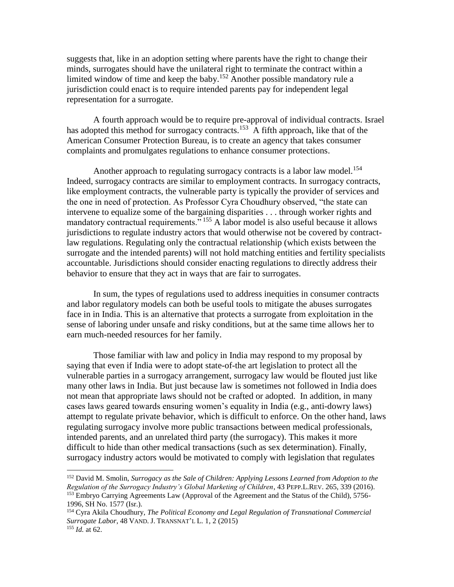suggests that, like in an adoption setting where parents have the right to change their minds, surrogates should have the unilateral right to terminate the contract within a limited window of time and keep the baby.<sup>152</sup> Another possible mandatory rule a jurisdiction could enact is to require intended parents pay for independent legal representation for a surrogate.

A fourth approach would be to require pre-approval of individual contracts. Israel has adopted this method for surrogacy contracts.<sup>153</sup> A fifth approach, like that of the American Consumer Protection Bureau, is to create an agency that takes consumer complaints and promulgates regulations to enhance consumer protections.

Another approach to regulating surrogacy contracts is a labor law model.<sup>154</sup> Indeed, surrogacy contracts are similar to employment contracts. In surrogacy contracts, like employment contracts, the vulnerable party is typically the provider of services and the one in need of protection. As Professor Cyra Choudhury observed, "the state can intervene to equalize some of the bargaining disparities . . . through worker rights and mandatory contractual requirements." <sup>155</sup> A labor model is also useful because it allows jurisdictions to regulate industry actors that would otherwise not be covered by contractlaw regulations. Regulating only the contractual relationship (which exists between the surrogate and the intended parents) will not hold matching entities and fertility specialists accountable. Jurisdictions should consider enacting regulations to directly address their behavior to ensure that they act in ways that are fair to surrogates.

In sum, the types of regulations used to address inequities in consumer contracts and labor regulatory models can both be useful tools to mitigate the abuses surrogates face in in India. This is an alternative that protects a surrogate from exploitation in the sense of laboring under unsafe and risky conditions, but at the same time allows her to earn much-needed resources for her family.

Those familiar with law and policy in India may respond to my proposal by saying that even if India were to adopt state-of-the art legislation to protect all the vulnerable parties in a surrogacy arrangement, surrogacy law would be flouted just like many other laws in India. But just because law is sometimes not followed in India does not mean that appropriate laws should not be crafted or adopted. In addition, in many cases laws geared towards ensuring women's equality in India (e.g., anti-dowry laws) attempt to regulate private behavior, which is difficult to enforce. On the other hand, laws regulating surrogacy involve more public transactions between medical professionals, intended parents, and an unrelated third party (the surrogacy). This makes it more difficult to hide than other medical transactions (such as sex determination). Finally, surrogacy industry actors would be motivated to comply with legislation that regulates

<sup>152</sup> David M. Smolin, *Surrogacy as the Sale of Children: Applying Lessons Learned from Adoption to the Regulation of the Surrogacy Industry's Global Marketing of Children*, 43 PEPP.L.REV. 265, 339 (2016). <sup>153</sup> Embryo Carrying Agreements Law (Approval of the Agreement and the Status of the Child), 5756- 1996, SH No. 1577 (Isr.).

<sup>154</sup> Cyra Akila Choudhury, *The Political Economy and Legal Regulation of Transnational Commercial Surrogate Labor*, 48 VAND. J. TRANSNAT'L L. 1, 2 (2015) <sup>155</sup> *Id.* at 62.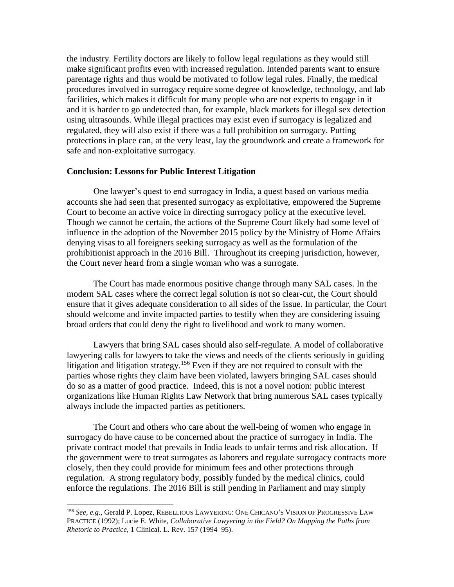the industry. Fertility doctors are likely to follow legal regulations as they would still make significant profits even with increased regulation. Intended parents want to ensure parentage rights and thus would be motivated to follow legal rules. Finally, the medical procedures involved in surrogacy require some degree of knowledge, technology, and lab facilities, which makes it difficult for many people who are not experts to engage in it and it is harder to go undetected than, for example, black markets for illegal sex detection using ultrasounds. While illegal practices may exist even if surrogacy is legalized and regulated, they will also exist if there was a full prohibition on surrogacy. Putting protections in place can, at the very least, lay the groundwork and create a framework for safe and non-exploitative surrogacy.

#### **Conclusion: Lessons for Public Interest Litigation**

One lawyer's quest to end surrogacy in India, a quest based on various media accounts she had seen that presented surrogacy as exploitative, empowered the Supreme Court to become an active voice in directing surrogacy policy at the executive level. Though we cannot be certain, the actions of the Supreme Court likely had some level of influence in the adoption of the November 2015 policy by the Ministry of Home Affairs denying visas to all foreigners seeking surrogacy as well as the formulation of the prohibitionist approach in the 2016 Bill. Throughout its creeping jurisdiction, however, the Court never heard from a single woman who was a surrogate.

The Court has made enormous positive change through many SAL cases. In the modern SAL cases where the correct legal solution is not so clear-cut, the Court should ensure that it gives adequate consideration to all sides of the issue. In particular, the Court should welcome and invite impacted parties to testify when they are considering issuing broad orders that could deny the right to livelihood and work to many women.

Lawyers that bring SAL cases should also self-regulate. A model of collaborative lawyering calls for lawyers to take the views and needs of the clients seriously in guiding litigation and litigation strategy.<sup>156</sup> Even if they are not required to consult with the parties whose rights they claim have been violated, lawyers bringing SAL cases should do so as a matter of good practice. Indeed, this is not a novel notion: public interest organizations like Human Rights Law Network that bring numerous SAL cases typically always include the impacted parties as petitioners.

The Court and others who care about the well-being of women who engage in surrogacy do have cause to be concerned about the practice of surrogacy in India. The private contract model that prevails in India leads to unfair terms and risk allocation. If the government were to treat surrogates as laborers and regulate surrogacy contracts more closely, then they could provide for minimum fees and other protections through regulation. A strong regulatory body, possibly funded by the medical clinics, could enforce the regulations. The 2016 Bill is still pending in Parliament and may simply

<sup>156</sup> *See, e.g.*, Gerald P. Lopez, REBELLIOUS LAWYERING: ONE CHICANO'S VISION OF PROGRESSIVE LAW PRACTICE (1992); Lucie E. White, *Collaborative Lawyering in the Field? On Mapping the Paths from Rhetoric to Practice*, 1 Clinical. L. Rev. 157 (1994–95).